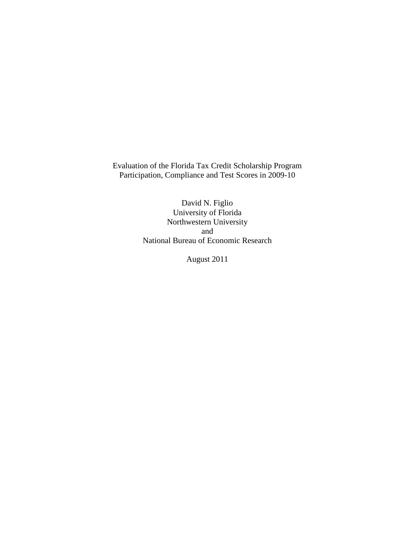Evaluation of the Florida Tax Credit Scholarship Program Participation, Compliance and Test Scores in 2009-10

> David N. Figlio University of Florida Northwestern University and National Bureau of Economic Research

> > August 2011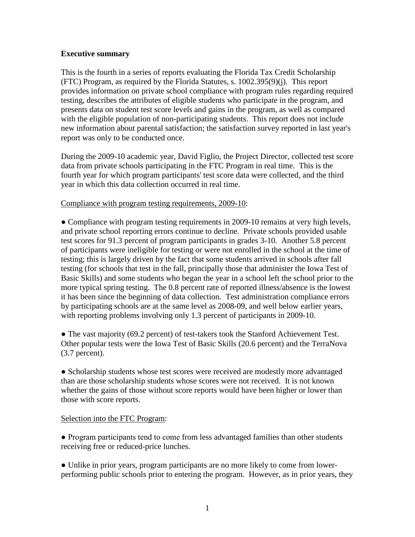## **Executive summary**

This is the fourth in a series of reports evaluating the Florida Tax Credit Scholarship (FTC) Program, as required by the Florida Statutes, s. 1002.395(9)(j). This report provides information on private school compliance with program rules regarding required testing, describes the attributes of eligible students who participate in the program, and presents data on student test score levels and gains in the program, as well as compared with the eligible population of non-participating students. This report does not include new information about parental satisfaction; the satisfaction survey reported in last year's report was only to be conducted once.

During the 2009-10 academic year, David Figlio, the Project Director, collected test score data from private schools participating in the FTC Program in real time. This is the fourth year for which program participants' test score data were collected, and the third year in which this data collection occurred in real time.

## Compliance with program testing requirements, 2009-10:

• Compliance with program testing requirements in 2009-10 remains at very high levels, and private school reporting errors continue to decline. Private schools provided usable test scores for 91.3 percent of program participants in grades 3-10. Another 5.8 percent of participants were ineligible for testing or were not enrolled in the school at the time of testing; this is largely driven by the fact that some students arrived in schools after fall testing (for schools that test in the fall, principally those that administer the Iowa Test of Basic Skills) and some students who began the year in a school left the school prior to the more typical spring testing. The 0.8 percent rate of reported illness/absence is the lowest it has been since the beginning of data collection. Test administration compliance errors by participating schools are at the same level as 2008-09, and well below earlier years, with reporting problems involving only 1.3 percent of participants in 2009-10.

● The vast majority (69.2 percent) of test-takers took the Stanford Achievement Test. Other popular tests were the Iowa Test of Basic Skills (20.6 percent) and the TerraNova (3.7 percent).

• Scholarship students whose test scores were received are modestly more advantaged than are those scholarship students whose scores were not received. It is not known whether the gains of those without score reports would have been higher or lower than those with score reports.

# Selection into the FTC Program:

● Program participants tend to come from less advantaged families than other students receiving free or reduced-price lunches.

● Unlike in prior years, program participants are no more likely to come from lowerperforming public schools prior to entering the program. However, as in prior years, they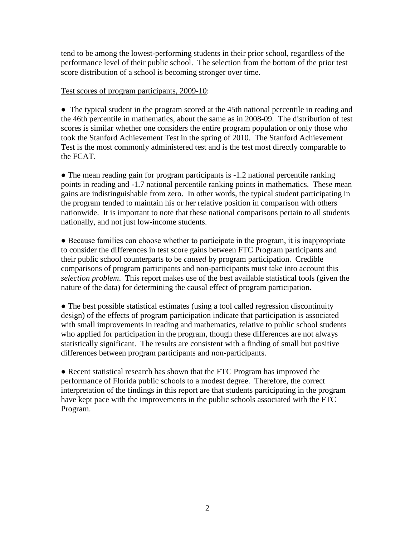tend to be among the lowest-performing students in their prior school, regardless of the performance level of their public school. The selection from the bottom of the prior test score distribution of a school is becoming stronger over time.

## Test scores of program participants, 2009-10:

● The typical student in the program scored at the 45th national percentile in reading and the 46th percentile in mathematics, about the same as in 2008-09. The distribution of test scores is similar whether one considers the entire program population or only those who took the Stanford Achievement Test in the spring of 2010. The Stanford Achievement Test is the most commonly administered test and is the test most directly comparable to the FCAT.

• The mean reading gain for program participants is -1.2 national percentile ranking points in reading and -1.7 national percentile ranking points in mathematics. These mean gains are indistinguishable from zero. In other words, the typical student participating in the program tended to maintain his or her relative position in comparison with others nationwide. It is important to note that these national comparisons pertain to all students nationally, and not just low-income students.

● Because families can choose whether to participate in the program, it is inappropriate to consider the differences in test score gains between FTC Program participants and their public school counterparts to be *caused* by program participation. Credible comparisons of program participants and non-participants must take into account this *selection problem*. This report makes use of the best available statistical tools (given the nature of the data) for determining the causal effect of program participation.

• The best possible statistical estimates (using a tool called regression discontinuity design) of the effects of program participation indicate that participation is associated with small improvements in reading and mathematics, relative to public school students who applied for participation in the program, though these differences are not always statistically significant. The results are consistent with a finding of small but positive differences between program participants and non-participants.

● Recent statistical research has shown that the FTC Program has improved the performance of Florida public schools to a modest degree. Therefore, the correct interpretation of the findings in this report are that students participating in the program have kept pace with the improvements in the public schools associated with the FTC Program.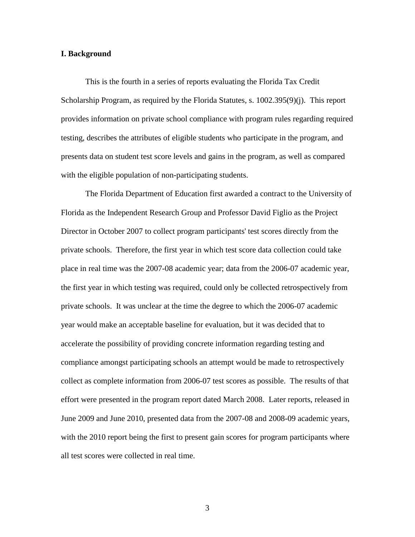### **I. Background**

This is the fourth in a series of reports evaluating the Florida Tax Credit Scholarship Program, as required by the Florida Statutes, s. 1002.395(9)(j). This report provides information on private school compliance with program rules regarding required testing, describes the attributes of eligible students who participate in the program, and presents data on student test score levels and gains in the program, as well as compared with the eligible population of non-participating students.

The Florida Department of Education first awarded a contract to the University of Florida as the Independent Research Group and Professor David Figlio as the Project Director in October 2007 to collect program participants' test scores directly from the private schools. Therefore, the first year in which test score data collection could take place in real time was the 2007-08 academic year; data from the 2006-07 academic year, the first year in which testing was required, could only be collected retrospectively from private schools. It was unclear at the time the degree to which the 2006-07 academic year would make an acceptable baseline for evaluation, but it was decided that to accelerate the possibility of providing concrete information regarding testing and compliance amongst participating schools an attempt would be made to retrospectively collect as complete information from 2006-07 test scores as possible. The results of that effort were presented in the program report dated March 2008. Later reports, released in June 2009 and June 2010, presented data from the 2007-08 and 2008-09 academic years, with the 2010 report being the first to present gain scores for program participants where all test scores were collected in real time.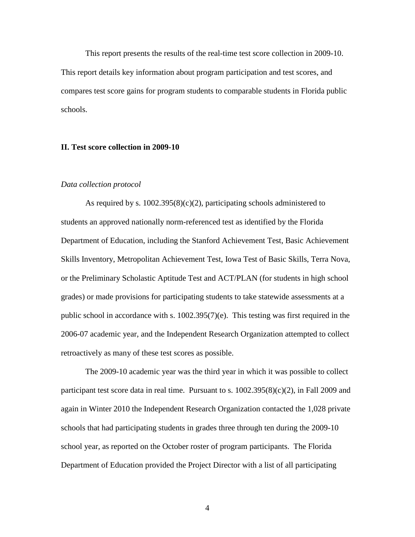This report presents the results of the real-time test score collection in 2009-10. This report details key information about program participation and test scores, and compares test score gains for program students to comparable students in Florida public schools.

### **II. Test score collection in 2009-10**

#### *Data collection protocol*

As required by s.  $1002.395(8)(c)(2)$ , participating schools administered to students an approved nationally norm-referenced test as identified by the Florida Department of Education, including the Stanford Achievement Test, Basic Achievement Skills Inventory, Metropolitan Achievement Test, Iowa Test of Basic Skills, Terra Nova, or the Preliminary Scholastic Aptitude Test and ACT/PLAN (for students in high school grades) or made provisions for participating students to take statewide assessments at a public school in accordance with s. 1002.395(7)(e). This testing was first required in the 2006-07 academic year, and the Independent Research Organization attempted to collect retroactively as many of these test scores as possible.

The 2009-10 academic year was the third year in which it was possible to collect participant test score data in real time. Pursuant to s.  $1002.395(8)(c)(2)$ , in Fall 2009 and again in Winter 2010 the Independent Research Organization contacted the 1,028 private schools that had participating students in grades three through ten during the 2009-10 school year, as reported on the October roster of program participants. The Florida Department of Education provided the Project Director with a list of all participating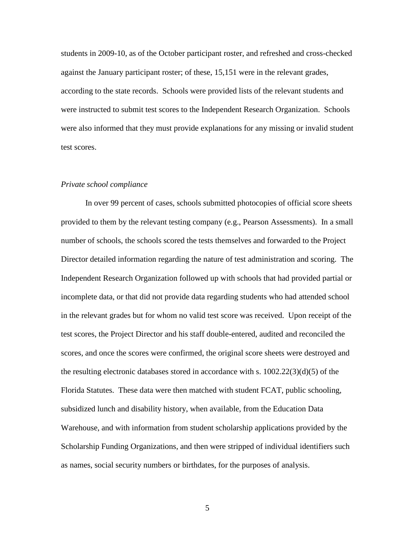students in 2009-10, as of the October participant roster, and refreshed and cross-checked against the January participant roster; of these, 15,151 were in the relevant grades, according to the state records. Schools were provided lists of the relevant students and were instructed to submit test scores to the Independent Research Organization. Schools were also informed that they must provide explanations for any missing or invalid student test scores.

#### *Private school compliance*

In over 99 percent of cases, schools submitted photocopies of official score sheets provided to them by the relevant testing company (e.g., Pearson Assessments). In a small number of schools, the schools scored the tests themselves and forwarded to the Project Director detailed information regarding the nature of test administration and scoring. The Independent Research Organization followed up with schools that had provided partial or incomplete data, or that did not provide data regarding students who had attended school in the relevant grades but for whom no valid test score was received. Upon receipt of the test scores, the Project Director and his staff double-entered, audited and reconciled the scores, and once the scores were confirmed, the original score sheets were destroyed and the resulting electronic databases stored in accordance with s.  $1002.22(3)(d)(5)$  of the Florida Statutes. These data were then matched with student FCAT, public schooling, subsidized lunch and disability history, when available, from the Education Data Warehouse, and with information from student scholarship applications provided by the Scholarship Funding Organizations, and then were stripped of individual identifiers such as names, social security numbers or birthdates, for the purposes of analysis.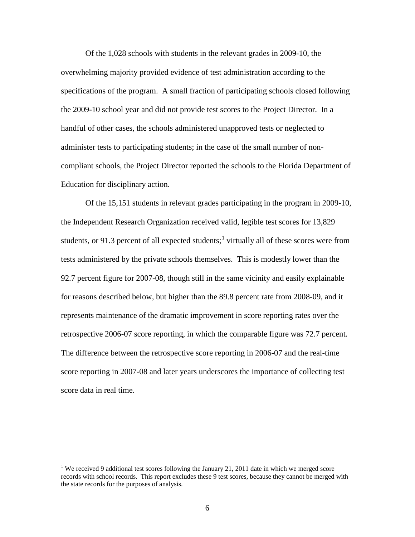Of the 1,028 schools with students in the relevant grades in 2009-10, the overwhelming majority provided evidence of test administration according to the specifications of the program. A small fraction of participating schools closed following the 2009-10 school year and did not provide test scores to the Project Director. In a handful of other cases, the schools administered unapproved tests or neglected to administer tests to participating students; in the case of the small number of noncompliant schools, the Project Director reported the schools to the Florida Department of Education for disciplinary action.

Of the 15,151 students in relevant grades participating in the program in 2009-10, the Independent Research Organization received valid, legible test scores for 13,829 students, or 9[1](#page-6-0).3 percent of all expected students;<sup>1</sup> virtually all of these scores were from tests administered by the private schools themselves. This is modestly lower than the 92.7 percent figure for 2007-08, though still in the same vicinity and easily explainable for reasons described below, but higher than the 89.8 percent rate from 2008-09, and it represents maintenance of the dramatic improvement in score reporting rates over the retrospective 2006-07 score reporting, in which the comparable figure was 72.7 percent. The difference between the retrospective score reporting in 2006-07 and the real-time score reporting in 2007-08 and later years underscores the importance of collecting test score data in real time.

<span id="page-6-0"></span><sup>&</sup>lt;sup>1</sup> We received 9 additional test scores following the January 21, 2011 date in which we merged score records with school records. This report excludes these 9 test scores, because they cannot be merged with the state records for the purposes of analysis.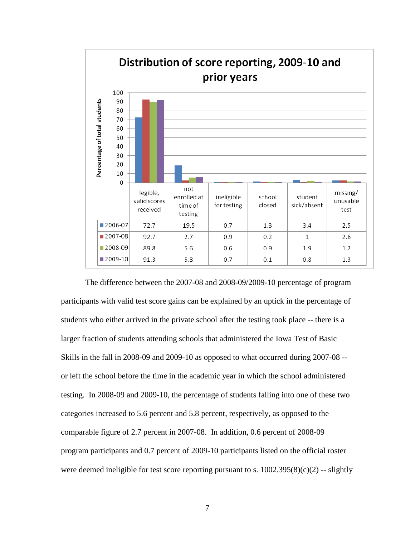

The difference between the 2007-08 and 2008-09/2009-10 percentage of program participants with valid test score gains can be explained by an uptick in the percentage of students who either arrived in the private school after the testing took place -- there is a larger fraction of students attending schools that administered the Iowa Test of Basic Skills in the fall in 2008-09 and 2009-10 as opposed to what occurred during 2007-08 - or left the school before the time in the academic year in which the school administered testing. In 2008-09 and 2009-10, the percentage of students falling into one of these two categories increased to 5.6 percent and 5.8 percent, respectively, as opposed to the comparable figure of 2.7 percent in 2007-08. In addition, 0.6 percent of 2008-09 program participants and 0.7 percent of 2009-10 participants listed on the official roster were deemed ineligible for test score reporting pursuant to s.  $1002.395(8)(c)(2)$  -- slightly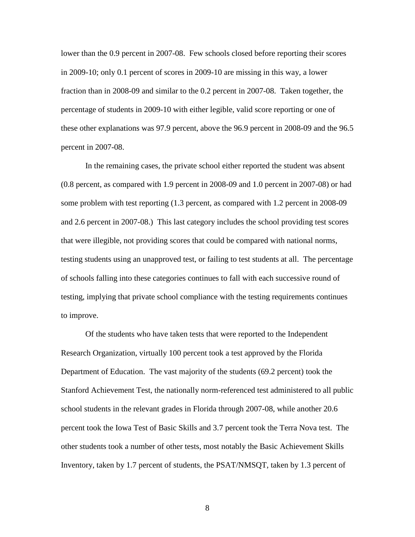lower than the 0.9 percent in 2007-08. Few schools closed before reporting their scores in 2009-10; only 0.1 percent of scores in 2009-10 are missing in this way, a lower fraction than in 2008-09 and similar to the 0.2 percent in 2007-08. Taken together, the percentage of students in 2009-10 with either legible, valid score reporting or one of these other explanations was 97.9 percent, above the 96.9 percent in 2008-09 and the 96.5 percent in 2007-08.

In the remaining cases, the private school either reported the student was absent (0.8 percent, as compared with 1.9 percent in 2008-09 and 1.0 percent in 2007-08) or had some problem with test reporting (1.3 percent, as compared with 1.2 percent in 2008-09 and 2.6 percent in 2007-08.) This last category includes the school providing test scores that were illegible, not providing scores that could be compared with national norms, testing students using an unapproved test, or failing to test students at all. The percentage of schools falling into these categories continues to fall with each successive round of testing, implying that private school compliance with the testing requirements continues to improve.

Of the students who have taken tests that were reported to the Independent Research Organization, virtually 100 percent took a test approved by the Florida Department of Education. The vast majority of the students (69.2 percent) took the Stanford Achievement Test, the nationally norm-referenced test administered to all public school students in the relevant grades in Florida through 2007-08, while another 20.6 percent took the Iowa Test of Basic Skills and 3.7 percent took the Terra Nova test. The other students took a number of other tests, most notably the Basic Achievement Skills Inventory, taken by 1.7 percent of students, the PSAT/NMSQT, taken by 1.3 percent of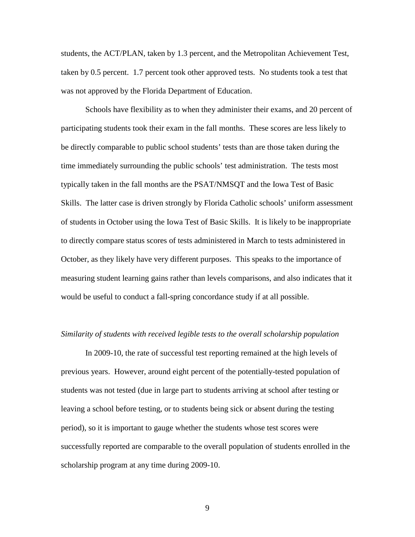students, the ACT/PLAN, taken by 1.3 percent, and the Metropolitan Achievement Test, taken by 0.5 percent. 1.7 percent took other approved tests. No students took a test that was not approved by the Florida Department of Education.

Schools have flexibility as to when they administer their exams, and 20 percent of participating students took their exam in the fall months. These scores are less likely to be directly comparable to public school students' tests than are those taken during the time immediately surrounding the public schools' test administration. The tests most typically taken in the fall months are the PSAT/NMSQT and the Iowa Test of Basic Skills. The latter case is driven strongly by Florida Catholic schools' uniform assessment of students in October using the Iowa Test of Basic Skills. It is likely to be inappropriate to directly compare status scores of tests administered in March to tests administered in October, as they likely have very different purposes. This speaks to the importance of measuring student learning gains rather than levels comparisons, and also indicates that it would be useful to conduct a fall-spring concordance study if at all possible.

#### *Similarity of students with received legible tests to the overall scholarship population*

In 2009-10, the rate of successful test reporting remained at the high levels of previous years. However, around eight percent of the potentially-tested population of students was not tested (due in large part to students arriving at school after testing or leaving a school before testing, or to students being sick or absent during the testing period), so it is important to gauge whether the students whose test scores were successfully reported are comparable to the overall population of students enrolled in the scholarship program at any time during 2009-10.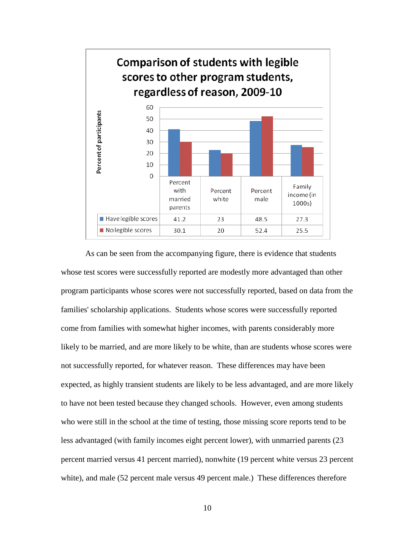

As can be seen from the accompanying figure, there is evidence that students whose test scores were successfully reported are modestly more advantaged than other program participants whose scores were not successfully reported, based on data from the families' scholarship applications. Students whose scores were successfully reported come from families with somewhat higher incomes, with parents considerably more likely to be married, and are more likely to be white, than are students whose scores were not successfully reported, for whatever reason. These differences may have been expected, as highly transient students are likely to be less advantaged, and are more likely to have not been tested because they changed schools. However, even among students who were still in the school at the time of testing, those missing score reports tend to be less advantaged (with family incomes eight percent lower), with unmarried parents (23 percent married versus 41 percent married), nonwhite (19 percent white versus 23 percent white), and male (52 percent male versus 49 percent male.) These differences therefore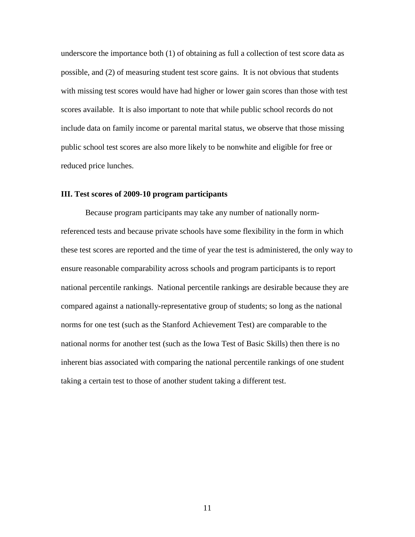underscore the importance both (1) of obtaining as full a collection of test score data as possible, and (2) of measuring student test score gains. It is not obvious that students with missing test scores would have had higher or lower gain scores than those with test scores available. It is also important to note that while public school records do not include data on family income or parental marital status, we observe that those missing public school test scores are also more likely to be nonwhite and eligible for free or reduced price lunches.

### **III. Test scores of 2009-10 program participants**

Because program participants may take any number of nationally normreferenced tests and because private schools have some flexibility in the form in which these test scores are reported and the time of year the test is administered, the only way to ensure reasonable comparability across schools and program participants is to report national percentile rankings. National percentile rankings are desirable because they are compared against a nationally-representative group of students; so long as the national norms for one test (such as the Stanford Achievement Test) are comparable to the national norms for another test (such as the Iowa Test of Basic Skills) then there is no inherent bias associated with comparing the national percentile rankings of one student taking a certain test to those of another student taking a different test.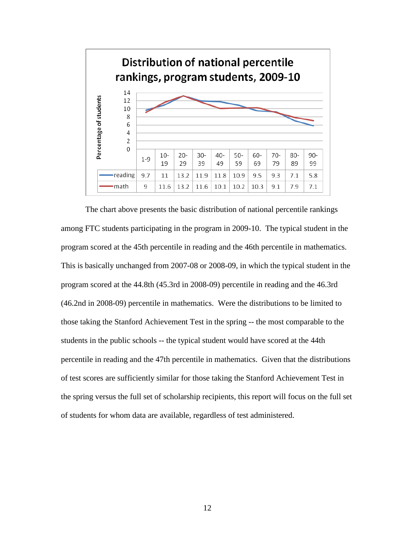

The chart above presents the basic distribution of national percentile rankings among FTC students participating in the program in 2009-10. The typical student in the program scored at the 45th percentile in reading and the 46th percentile in mathematics. This is basically unchanged from 2007-08 or 2008-09, in which the typical student in the program scored at the 44.8th (45.3rd in 2008-09) percentile in reading and the 46.3rd (46.2nd in 2008-09) percentile in mathematics. Were the distributions to be limited to those taking the Stanford Achievement Test in the spring -- the most comparable to the students in the public schools -- the typical student would have scored at the 44th percentile in reading and the 47th percentile in mathematics. Given that the distributions of test scores are sufficiently similar for those taking the Stanford Achievement Test in the spring versus the full set of scholarship recipients, this report will focus on the full set of students for whom data are available, regardless of test administered.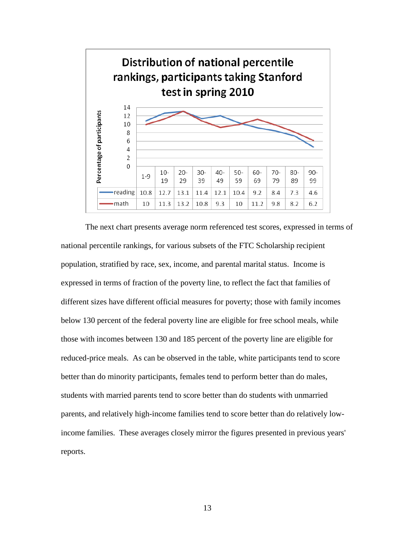

The next chart presents average norm referenced test scores, expressed in terms of national percentile rankings, for various subsets of the FTC Scholarship recipient population, stratified by race, sex, income, and parental marital status. Income is expressed in terms of fraction of the poverty line, to reflect the fact that families of different sizes have different official measures for poverty; those with family incomes below 130 percent of the federal poverty line are eligible for free school meals, while those with incomes between 130 and 185 percent of the poverty line are eligible for reduced-price meals. As can be observed in the table, white participants tend to score better than do minority participants, females tend to perform better than do males, students with married parents tend to score better than do students with unmarried parents, and relatively high-income families tend to score better than do relatively lowincome families. These averages closely mirror the figures presented in previous years' reports.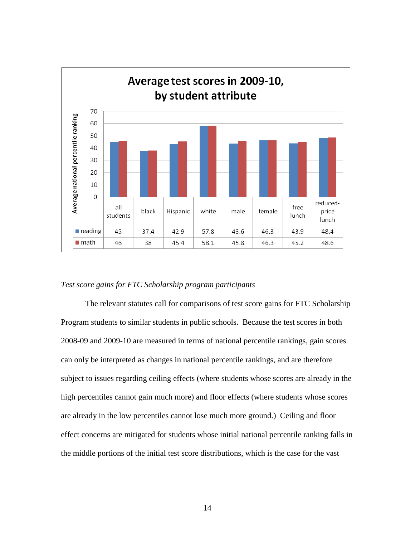

#### *Test score gains for FTC Scholarship program participants*

The relevant statutes call for comparisons of test score gains for FTC Scholarship Program students to similar students in public schools. Because the test scores in both 2008-09 and 2009-10 are measured in terms of national percentile rankings, gain scores can only be interpreted as changes in national percentile rankings, and are therefore subject to issues regarding ceiling effects (where students whose scores are already in the high percentiles cannot gain much more) and floor effects (where students whose scores are already in the low percentiles cannot lose much more ground.) Ceiling and floor effect concerns are mitigated for students whose initial national percentile ranking falls in the middle portions of the initial test score distributions, which is the case for the vast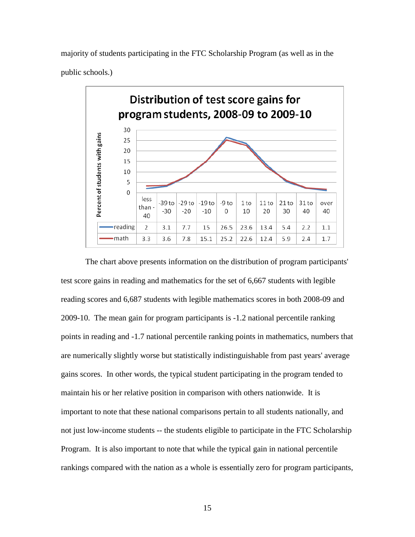majority of students participating in the FTC Scholarship Program (as well as in the public schools.)



The chart above presents information on the distribution of program participants' test score gains in reading and mathematics for the set of 6,667 students with legible reading scores and 6,687 students with legible mathematics scores in both 2008-09 and 2009-10. The mean gain for program participants is -1.2 national percentile ranking points in reading and -1.7 national percentile ranking points in mathematics, numbers that are numerically slightly worse but statistically indistinguishable from past years' average gains scores. In other words, the typical student participating in the program tended to maintain his or her relative position in comparison with others nationwide. It is important to note that these national comparisons pertain to all students nationally, and not just low-income students -- the students eligible to participate in the FTC Scholarship Program. It is also important to note that while the typical gain in national percentile rankings compared with the nation as a whole is essentially zero for program participants,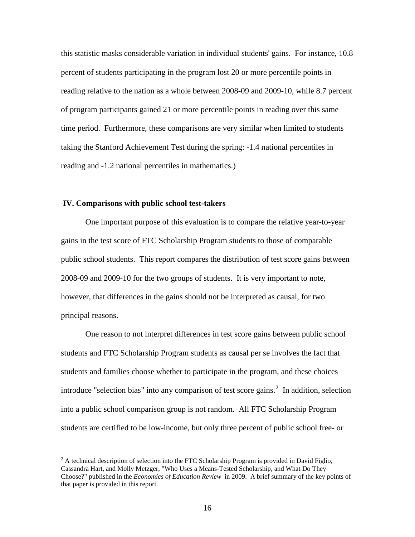this statistic masks considerable variation in individual students' gains. For instance, 10.8 percent of students participating in the program lost 20 or more percentile points in reading relative to the nation as a whole between 2008-09 and 2009-10, while 8.7 percent of program participants gained 21 or more percentile points in reading over this same time period. Furthermore, these comparisons are very similar when limited to students taking the Stanford Achievement Test during the spring: -1.4 national percentiles in reading and -1.2 national percentiles in mathematics.)

### **IV. Comparisons with public school test-takers**

One important purpose of this evaluation is to compare the relative year-to-year gains in the test score of FTC Scholarship Program students to those of comparable public school students. This report compares the distribution of test score gains between 2008-09 and 2009-10 for the two groups of students. It is very important to note, however, that differences in the gains should not be interpreted as causal, for two principal reasons.

One reason to not interpret differences in test score gains between public school students and FTC Scholarship Program students as causal per se involves the fact that students and families choose whether to participate in the program, and these choices introduce "selection bias" into any comparison of test score gains. $^2$  $^2$  In addition, selection into a public school comparison group is not random. All FTC Scholarship Program students are certified to be low-income, but only three percent of public school free- or

<span id="page-16-0"></span> $2<sup>2</sup>$  A technical description of selection into the FTC Scholarship Program is provided in David Figlio, Cassandra Hart, and Molly Metzger, "Who Uses a Means-Tested Scholarship, and What Do They Choose?" published in the *Economics of Education Review* in 2009. A brief summary of the key points of that paper is provided in this report.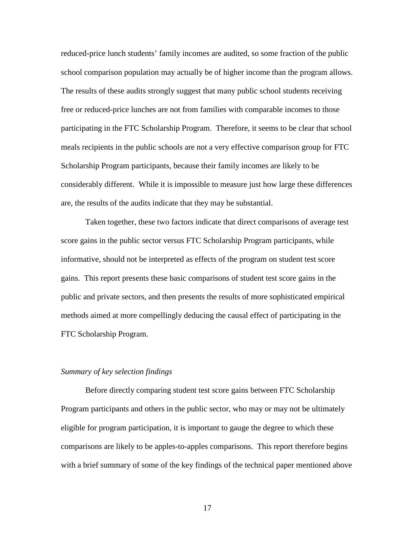reduced-price lunch students' family incomes are audited, so some fraction of the public school comparison population may actually be of higher income than the program allows. The results of these audits strongly suggest that many public school students receiving free or reduced-price lunches are not from families with comparable incomes to those participating in the FTC Scholarship Program. Therefore, it seems to be clear that school meals recipients in the public schools are not a very effective comparison group for FTC Scholarship Program participants, because their family incomes are likely to be considerably different. While it is impossible to measure just how large these differences are, the results of the audits indicate that they may be substantial.

Taken together, these two factors indicate that direct comparisons of average test score gains in the public sector versus FTC Scholarship Program participants, while informative, should not be interpreted as effects of the program on student test score gains. This report presents these basic comparisons of student test score gains in the public and private sectors, and then presents the results of more sophisticated empirical methods aimed at more compellingly deducing the causal effect of participating in the FTC Scholarship Program.

#### *Summary of key selection findings*

Before directly comparing student test score gains between FTC Scholarship Program participants and others in the public sector, who may or may not be ultimately eligible for program participation, it is important to gauge the degree to which these comparisons are likely to be apples-to-apples comparisons. This report therefore begins with a brief summary of some of the key findings of the technical paper mentioned above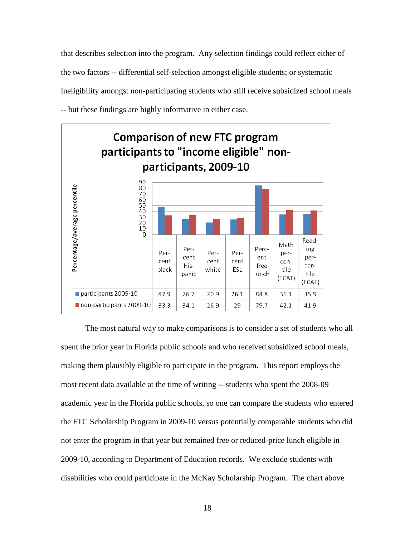that describes selection into the program. Any selection findings could reflect either of the two factors -- differential self-selection amongst eligible students; or systematic ineligibility amongst non-participating students who still receive subsidized school meals -- but these findings are highly informative in either case.



 The most natural way to make comparisons is to consider a set of students who all spent the prior year in Florida public schools and who received subsidized school meals, making them plausibly eligible to participate in the program. This report employs the most recent data available at the time of writing -- students who spent the 2008-09 academic year in the Florida public schools, so one can compare the students who entered the FTC Scholarship Program in 2009-10 versus potentially comparable students who did not enter the program in that year but remained free or reduced-price lunch eligible in 2009-10, according to Department of Education records. We exclude students with disabilities who could participate in the McKay Scholarship Program. The chart above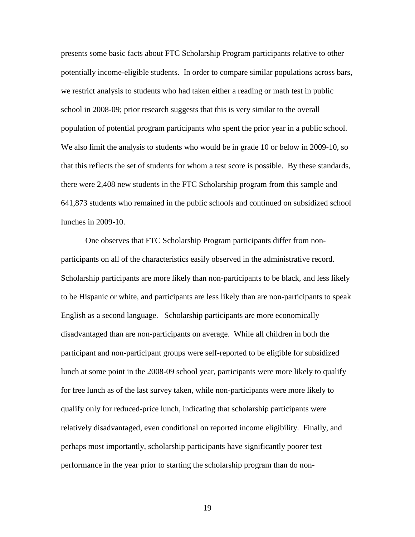presents some basic facts about FTC Scholarship Program participants relative to other potentially income-eligible students. In order to compare similar populations across bars, we restrict analysis to students who had taken either a reading or math test in public school in 2008-09; prior research suggests that this is very similar to the overall population of potential program participants who spent the prior year in a public school. We also limit the analysis to students who would be in grade 10 or below in 2009-10, so that this reflects the set of students for whom a test score is possible. By these standards, there were 2,408 new students in the FTC Scholarship program from this sample and 641,873 students who remained in the public schools and continued on subsidized school lunches in 2009-10.

One observes that FTC Scholarship Program participants differ from nonparticipants on all of the characteristics easily observed in the administrative record. Scholarship participants are more likely than non-participants to be black, and less likely to be Hispanic or white, and participants are less likely than are non-participants to speak English as a second language. Scholarship participants are more economically disadvantaged than are non-participants on average. While all children in both the participant and non-participant groups were self-reported to be eligible for subsidized lunch at some point in the 2008-09 school year, participants were more likely to qualify for free lunch as of the last survey taken, while non-participants were more likely to qualify only for reduced-price lunch, indicating that scholarship participants were relatively disadvantaged, even conditional on reported income eligibility. Finally, and perhaps most importantly, scholarship participants have significantly poorer test performance in the year prior to starting the scholarship program than do non-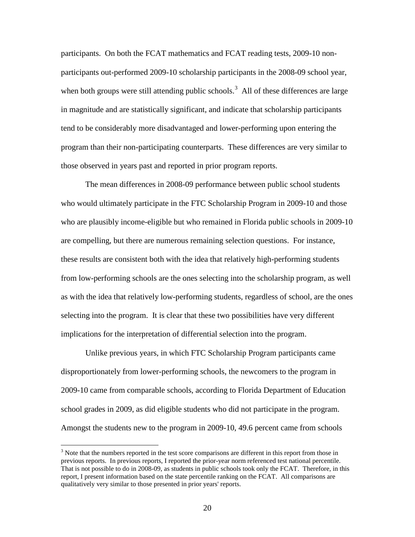participants. On both the FCAT mathematics and FCAT reading tests, 2009-10 nonparticipants out-performed 2009-10 scholarship participants in the 2008-09 school year, when both groups were still attending public schools.<sup>[3](#page-20-0)</sup> All of these differences are large in magnitude and are statistically significant, and indicate that scholarship participants tend to be considerably more disadvantaged and lower-performing upon entering the program than their non-participating counterparts. These differences are very similar to those observed in years past and reported in prior program reports.

The mean differences in 2008-09 performance between public school students who would ultimately participate in the FTC Scholarship Program in 2009-10 and those who are plausibly income-eligible but who remained in Florida public schools in 2009-10 are compelling, but there are numerous remaining selection questions. For instance, these results are consistent both with the idea that relatively high-performing students from low-performing schools are the ones selecting into the scholarship program, as well as with the idea that relatively low-performing students, regardless of school, are the ones selecting into the program. It is clear that these two possibilities have very different implications for the interpretation of differential selection into the program.

Unlike previous years, in which FTC Scholarship Program participants came disproportionately from lower-performing schools, the newcomers to the program in 2009-10 came from comparable schools, according to Florida Department of Education school grades in 2009, as did eligible students who did not participate in the program. Amongst the students new to the program in 2009-10, 49.6 percent came from schools

<span id="page-20-0"></span><sup>&</sup>lt;sup>3</sup> Note that the numbers reported in the test score comparisons are different in this report from those in previous reports. In previous reports, I reported the prior-year norm referenced test national percentile. That is not possible to do in 2008-09, as students in public schools took only the FCAT. Therefore, in this report, I present information based on the state percentile ranking on the FCAT. All comparisons are qualitatively very similar to those presented in prior years' reports.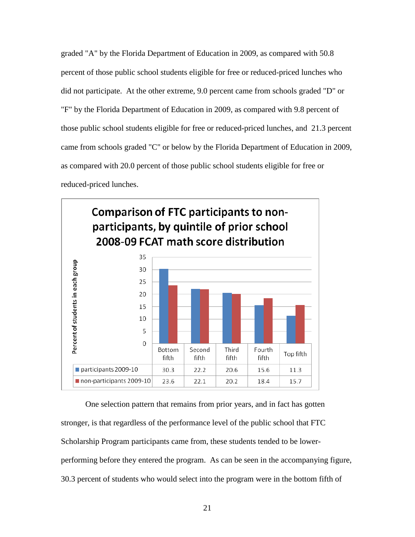graded "A" by the Florida Department of Education in 2009, as compared with 50.8 percent of those public school students eligible for free or reduced-priced lunches who did not participate. At the other extreme, 9.0 percent came from schools graded "D" or "F" by the Florida Department of Education in 2009, as compared with 9.8 percent of those public school students eligible for free or reduced-priced lunches, and 21.3 percent came from schools graded "C" or below by the Florida Department of Education in 2009, as compared with 20.0 percent of those public school students eligible for free or reduced-priced lunches.



 One selection pattern that remains from prior years, and in fact has gotten stronger, is that regardless of the performance level of the public school that FTC Scholarship Program participants came from, these students tended to be lowerperforming before they entered the program. As can be seen in the accompanying figure, 30.3 percent of students who would select into the program were in the bottom fifth of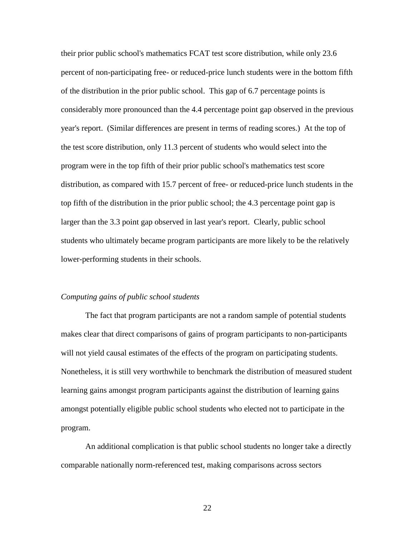their prior public school's mathematics FCAT test score distribution, while only 23.6 percent of non-participating free- or reduced-price lunch students were in the bottom fifth of the distribution in the prior public school. This gap of 6.7 percentage points is considerably more pronounced than the 4.4 percentage point gap observed in the previous year's report. (Similar differences are present in terms of reading scores.) At the top of the test score distribution, only 11.3 percent of students who would select into the program were in the top fifth of their prior public school's mathematics test score distribution, as compared with 15.7 percent of free- or reduced-price lunch students in the top fifth of the distribution in the prior public school; the 4.3 percentage point gap is larger than the 3.3 point gap observed in last year's report. Clearly, public school students who ultimately became program participants are more likely to be the relatively lower-performing students in their schools.

#### *Computing gains of public school students*

The fact that program participants are not a random sample of potential students makes clear that direct comparisons of gains of program participants to non-participants will not yield causal estimates of the effects of the program on participating students. Nonetheless, it is still very worthwhile to benchmark the distribution of measured student learning gains amongst program participants against the distribution of learning gains amongst potentially eligible public school students who elected not to participate in the program.

An additional complication is that public school students no longer take a directly comparable nationally norm-referenced test, making comparisons across sectors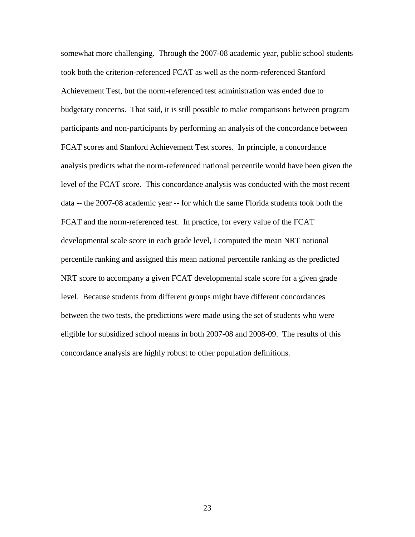somewhat more challenging. Through the 2007-08 academic year, public school students took both the criterion-referenced FCAT as well as the norm-referenced Stanford Achievement Test, but the norm-referenced test administration was ended due to budgetary concerns. That said, it is still possible to make comparisons between program participants and non-participants by performing an analysis of the concordance between FCAT scores and Stanford Achievement Test scores. In principle, a concordance analysis predicts what the norm-referenced national percentile would have been given the level of the FCAT score. This concordance analysis was conducted with the most recent data -- the 2007-08 academic year -- for which the same Florida students took both the FCAT and the norm-referenced test. In practice, for every value of the FCAT developmental scale score in each grade level, I computed the mean NRT national percentile ranking and assigned this mean national percentile ranking as the predicted NRT score to accompany a given FCAT developmental scale score for a given grade level. Because students from different groups might have different concordances between the two tests, the predictions were made using the set of students who were eligible for subsidized school means in both 2007-08 and 2008-09. The results of this concordance analysis are highly robust to other population definitions.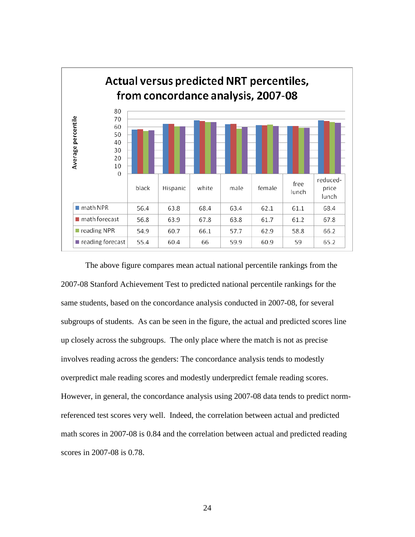

The above figure compares mean actual national percentile rankings from the 2007-08 Stanford Achievement Test to predicted national percentile rankings for the same students, based on the concordance analysis conducted in 2007-08, for several subgroups of students. As can be seen in the figure, the actual and predicted scores line up closely across the subgroups. The only place where the match is not as precise involves reading across the genders: The concordance analysis tends to modestly overpredict male reading scores and modestly underpredict female reading scores. However, in general, the concordance analysis using 2007-08 data tends to predict normreferenced test scores very well. Indeed, the correlation between actual and predicted math scores in 2007-08 is 0.84 and the correlation between actual and predicted reading scores in 2007-08 is 0.78.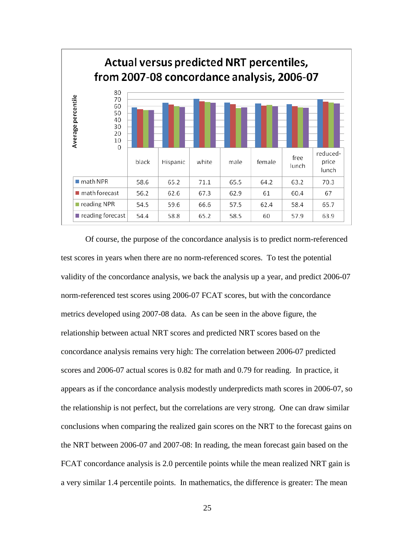

 Of course, the purpose of the concordance analysis is to predict norm-referenced test scores in years when there are no norm-referenced scores. To test the potential validity of the concordance analysis, we back the analysis up a year, and predict 2006-07 norm-referenced test scores using 2006-07 FCAT scores, but with the concordance metrics developed using 2007-08 data. As can be seen in the above figure, the relationship between actual NRT scores and predicted NRT scores based on the concordance analysis remains very high: The correlation between 2006-07 predicted scores and 2006-07 actual scores is 0.82 for math and 0.79 for reading. In practice, it appears as if the concordance analysis modestly underpredicts math scores in 2006-07, so the relationship is not perfect, but the correlations are very strong. One can draw similar conclusions when comparing the realized gain scores on the NRT to the forecast gains on the NRT between 2006-07 and 2007-08: In reading, the mean forecast gain based on the FCAT concordance analysis is 2.0 percentile points while the mean realized NRT gain is a very similar 1.4 percentile points. In mathematics, the difference is greater: The mean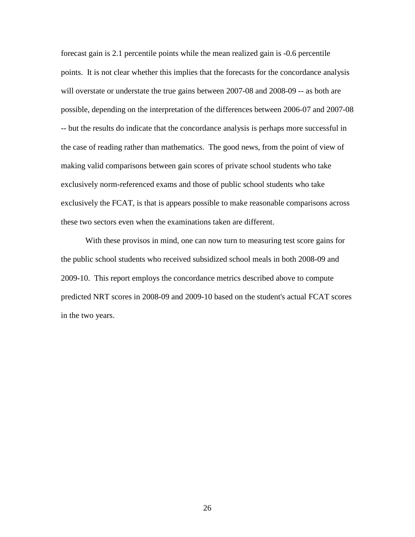forecast gain is 2.1 percentile points while the mean realized gain is -0.6 percentile points. It is not clear whether this implies that the forecasts for the concordance analysis will overstate or understate the true gains between 2007-08 and 2008-09 -- as both are possible, depending on the interpretation of the differences between 2006-07 and 2007-08 -- but the results do indicate that the concordance analysis is perhaps more successful in the case of reading rather than mathematics. The good news, from the point of view of making valid comparisons between gain scores of private school students who take exclusively norm-referenced exams and those of public school students who take exclusively the FCAT, is that is appears possible to make reasonable comparisons across these two sectors even when the examinations taken are different.

With these provisos in mind, one can now turn to measuring test score gains for the public school students who received subsidized school meals in both 2008-09 and 2009-10. This report employs the concordance metrics described above to compute predicted NRT scores in 2008-09 and 2009-10 based on the student's actual FCAT scores in the two years.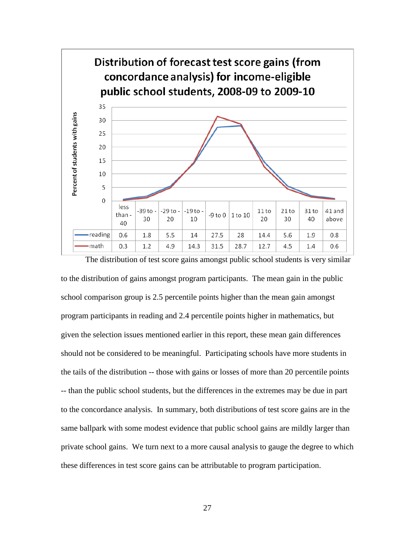

to the distribution of gains amongst program participants. The mean gain in the public school comparison group is 2.5 percentile points higher than the mean gain amongst program participants in reading and 2.4 percentile points higher in mathematics, but given the selection issues mentioned earlier in this report, these mean gain differences should not be considered to be meaningful. Participating schools have more students in the tails of the distribution -- those with gains or losses of more than 20 percentile points -- than the public school students, but the differences in the extremes may be due in part to the concordance analysis. In summary, both distributions of test score gains are in the same ballpark with some modest evidence that public school gains are mildly larger than private school gains. We turn next to a more causal analysis to gauge the degree to which these differences in test score gains can be attributable to program participation.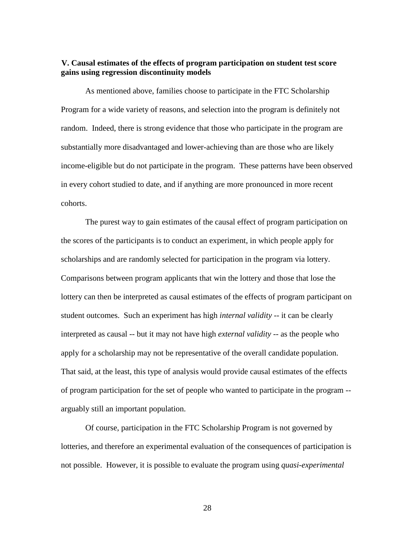## **V. Causal estimates of the effects of program participation on student test score gains using regression discontinuity models**

As mentioned above, families choose to participate in the FTC Scholarship Program for a wide variety of reasons, and selection into the program is definitely not random. Indeed, there is strong evidence that those who participate in the program are substantially more disadvantaged and lower-achieving than are those who are likely income-eligible but do not participate in the program. These patterns have been observed in every cohort studied to date, and if anything are more pronounced in more recent cohorts.

The purest way to gain estimates of the causal effect of program participation on the scores of the participants is to conduct an experiment, in which people apply for scholarships and are randomly selected for participation in the program via lottery. Comparisons between program applicants that win the lottery and those that lose the lottery can then be interpreted as causal estimates of the effects of program participant on student outcomes. Such an experiment has high *internal validity* -- it can be clearly interpreted as causal -- but it may not have high *external validity* -- as the people who apply for a scholarship may not be representative of the overall candidate population. That said, at the least, this type of analysis would provide causal estimates of the effects of program participation for the set of people who wanted to participate in the program - arguably still an important population.

Of course, participation in the FTC Scholarship Program is not governed by lotteries, and therefore an experimental evaluation of the consequences of participation is not possible. However, it is possible to evaluate the program using *quasi-experimental*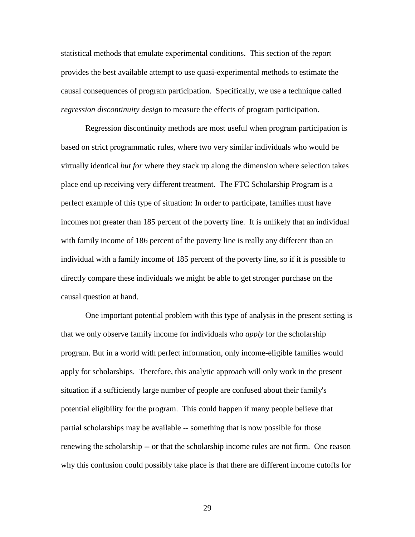statistical methods that emulate experimental conditions. This section of the report provides the best available attempt to use quasi-experimental methods to estimate the causal consequences of program participation. Specifically, we use a technique called *regression discontinuity design* to measure the effects of program participation.

Regression discontinuity methods are most useful when program participation is based on strict programmatic rules, where two very similar individuals who would be virtually identical *but for* where they stack up along the dimension where selection takes place end up receiving very different treatment. The FTC Scholarship Program is a perfect example of this type of situation: In order to participate, families must have incomes not greater than 185 percent of the poverty line. It is unlikely that an individual with family income of 186 percent of the poverty line is really any different than an individual with a family income of 185 percent of the poverty line, so if it is possible to directly compare these individuals we might be able to get stronger purchase on the causal question at hand.

One important potential problem with this type of analysis in the present setting is that we only observe family income for individuals who *apply* for the scholarship program. But in a world with perfect information, only income-eligible families would apply for scholarships. Therefore, this analytic approach will only work in the present situation if a sufficiently large number of people are confused about their family's potential eligibility for the program. This could happen if many people believe that partial scholarships may be available -- something that is now possible for those renewing the scholarship -- or that the scholarship income rules are not firm. One reason why this confusion could possibly take place is that there are different income cutoffs for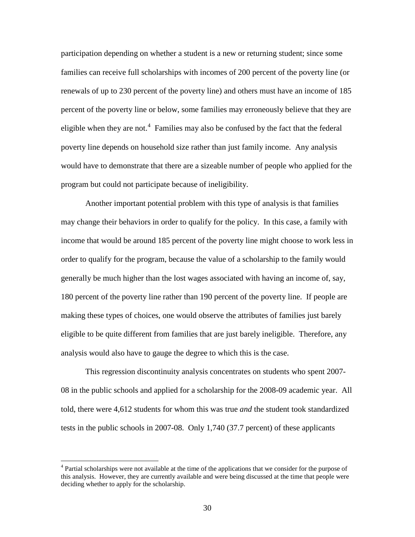participation depending on whether a student is a new or returning student; since some families can receive full scholarships with incomes of 200 percent of the poverty line (or renewals of up to 230 percent of the poverty line) and others must have an income of 185 percent of the poverty line or below, some families may erroneously believe that they are eligible when they are not.<sup>[4](#page-30-0)</sup> Families may also be confused by the fact that the federal poverty line depends on household size rather than just family income. Any analysis would have to demonstrate that there are a sizeable number of people who applied for the program but could not participate because of ineligibility.

Another important potential problem with this type of analysis is that families may change their behaviors in order to qualify for the policy. In this case, a family with income that would be around 185 percent of the poverty line might choose to work less in order to qualify for the program, because the value of a scholarship to the family would generally be much higher than the lost wages associated with having an income of, say, 180 percent of the poverty line rather than 190 percent of the poverty line. If people are making these types of choices, one would observe the attributes of families just barely eligible to be quite different from families that are just barely ineligible. Therefore, any analysis would also have to gauge the degree to which this is the case.

This regression discontinuity analysis concentrates on students who spent 2007- 08 in the public schools and applied for a scholarship for the 2008-09 academic year. All told, there were 4,612 students for whom this was true *and* the student took standardized tests in the public schools in 2007-08. Only 1,740 (37.7 percent) of these applicants

<span id="page-30-0"></span><sup>&</sup>lt;sup>4</sup> Partial scholarships were not available at the time of the applications that we consider for the purpose of this analysis. However, they are currently available and were being discussed at the time that people were deciding whether to apply for the scholarship.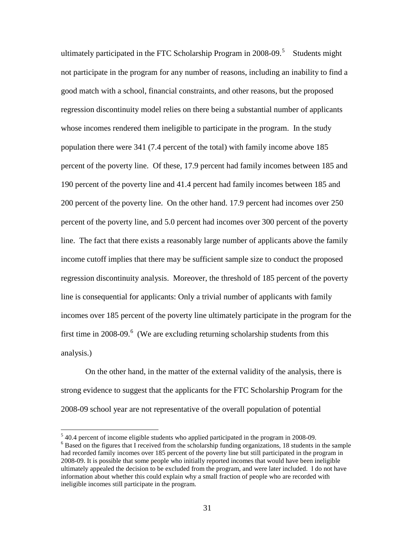ultimately participated in the FTC Scholarship Program in 2008-09.<sup>[5](#page-31-0)</sup> Students might not participate in the program for any number of reasons, including an inability to find a good match with a school, financial constraints, and other reasons, but the proposed regression discontinuity model relies on there being a substantial number of applicants whose incomes rendered them ineligible to participate in the program. In the study population there were 341 (7.4 percent of the total) with family income above 185 percent of the poverty line. Of these, 17.9 percent had family incomes between 185 and 190 percent of the poverty line and 41.4 percent had family incomes between 185 and 200 percent of the poverty line. On the other hand. 17.9 percent had incomes over 250 percent of the poverty line, and 5.0 percent had incomes over 300 percent of the poverty line. The fact that there exists a reasonably large number of applicants above the family income cutoff implies that there may be sufficient sample size to conduct the proposed regression discontinuity analysis. Moreover, the threshold of 185 percent of the poverty line is consequential for applicants: Only a trivial number of applicants with family incomes over 185 percent of the poverty line ultimately participate in the program for the first time in 2008-09.<sup>[6](#page-31-1)</sup> (We are excluding returning scholarship students from this analysis.)

On the other hand, in the matter of the external validity of the analysis, there is strong evidence to suggest that the applicants for the FTC Scholarship Program for the 2008-09 school year are not representative of the overall population of potential

<span id="page-31-1"></span><span id="page-31-0"></span> $5$  40.4 percent of income eligible students who applied participated in the program in 2008-09.  $6$  Based on the figures that I received from the scholarship funding organizations, 18 students in the sample had recorded family incomes over 185 percent of the poverty line but still participated in the program in

<sup>2008-09.</sup> It is possible that some people who initially reported incomes that would have been ineligible ultimately appealed the decision to be excluded from the program, and were later included. I do not have information about whether this could explain why a small fraction of people who are recorded with ineligible incomes still participate in the program.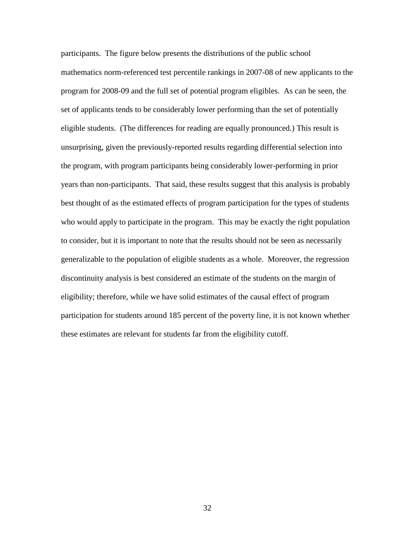participants. The figure below presents the distributions of the public school mathematics norm-referenced test percentile rankings in 2007-08 of new applicants to the program for 2008-09 and the full set of potential program eligibles. As can be seen, the set of applicants tends to be considerably lower performing than the set of potentially eligible students. (The differences for reading are equally pronounced.) This result is unsurprising, given the previously-reported results regarding differential selection into the program, with program participants being considerably lower-performing in prior years than non-participants. That said, these results suggest that this analysis is probably best thought of as the estimated effects of program participation for the types of students who would apply to participate in the program. This may be exactly the right population to consider, but it is important to note that the results should not be seen as necessarily generalizable to the population of eligible students as a whole. Moreover, the regression discontinuity analysis is best considered an estimate of the students on the margin of eligibility; therefore, while we have solid estimates of the causal effect of program participation for students around 185 percent of the poverty line, it is not known whether these estimates are relevant for students far from the eligibility cutoff.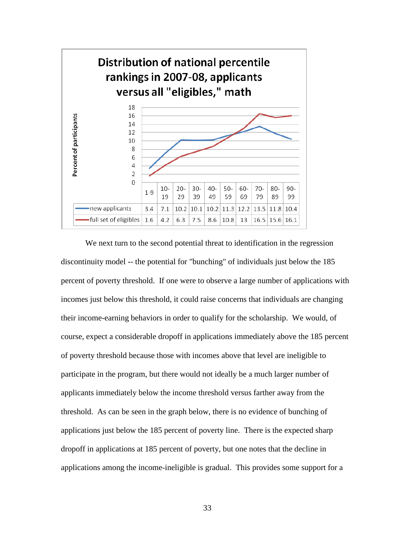

 We next turn to the second potential threat to identification in the regression discontinuity model -- the potential for "bunching" of individuals just below the 185 percent of poverty threshold. If one were to observe a large number of applications with incomes just below this threshold, it could raise concerns that individuals are changing their income-earning behaviors in order to qualify for the scholarship. We would, of course, expect a considerable dropoff in applications immediately above the 185 percent of poverty threshold because those with incomes above that level are ineligible to participate in the program, but there would not ideally be a much larger number of applicants immediately below the income threshold versus farther away from the threshold. As can be seen in the graph below, there is no evidence of bunching of applications just below the 185 percent of poverty line. There is the expected sharp dropoff in applications at 185 percent of poverty, but one notes that the decline in applications among the income-ineligible is gradual. This provides some support for a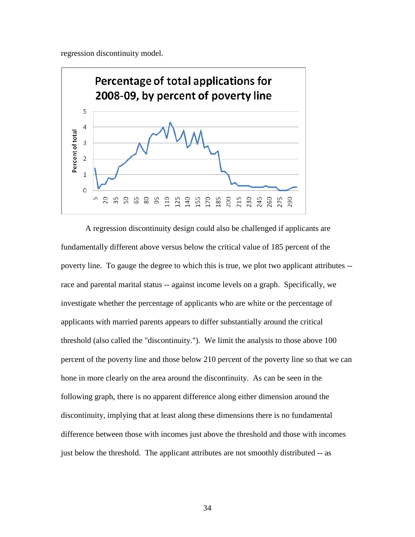regression discontinuity model.



A regression discontinuity design could also be challenged if applicants are fundamentally different above versus below the critical value of 185 percent of the poverty line. To gauge the degree to which this is true, we plot two applicant attributes - race and parental marital status -- against income levels on a graph. Specifically, we investigate whether the percentage of applicants who are white or the percentage of applicants with married parents appears to differ substantially around the critical threshold (also called the "discontinuity."). We limit the analysis to those above 100 percent of the poverty line and those below 210 percent of the poverty line so that we can hone in more clearly on the area around the discontinuity. As can be seen in the following graph, there is no apparent difference along either dimension around the discontinuity, implying that at least along these dimensions there is no fundamental difference between those with incomes just above the threshold and those with incomes just below the threshold. The applicant attributes are not smoothly distributed -- as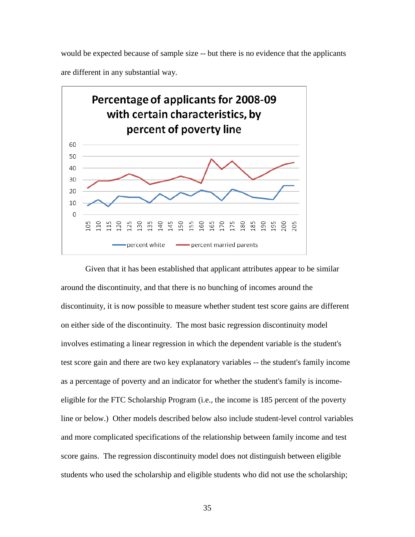would be expected because of sample size -- but there is no evidence that the applicants are different in any substantial way.



Given that it has been established that applicant attributes appear to be similar around the discontinuity, and that there is no bunching of incomes around the discontinuity, it is now possible to measure whether student test score gains are different on either side of the discontinuity. The most basic regression discontinuity model involves estimating a linear regression in which the dependent variable is the student's test score gain and there are two key explanatory variables -- the student's family income as a percentage of poverty and an indicator for whether the student's family is incomeeligible for the FTC Scholarship Program (i.e., the income is 185 percent of the poverty line or below.) Other models described below also include student-level control variables and more complicated specifications of the relationship between family income and test score gains. The regression discontinuity model does not distinguish between eligible students who used the scholarship and eligible students who did not use the scholarship;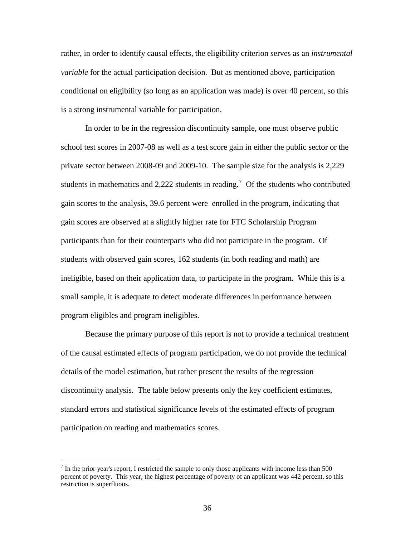rather, in order to identify causal effects, the eligibility criterion serves as an *instrumental variable* for the actual participation decision. But as mentioned above, participation conditional on eligibility (so long as an application was made) is over 40 percent, so this is a strong instrumental variable for participation.

In order to be in the regression discontinuity sample, one must observe public school test scores in 2007-08 as well as a test score gain in either the public sector or the private sector between 2008-09 and 2009-10. The sample size for the analysis is 2,229 students in mathematics and 2,222 students in reading.<sup>[7](#page-36-0)</sup> Of the students who contributed gain scores to the analysis, 39.6 percent were enrolled in the program, indicating that gain scores are observed at a slightly higher rate for FTC Scholarship Program participants than for their counterparts who did not participate in the program. Of students with observed gain scores, 162 students (in both reading and math) are ineligible, based on their application data, to participate in the program. While this is a small sample, it is adequate to detect moderate differences in performance between program eligibles and program ineligibles.

Because the primary purpose of this report is not to provide a technical treatment of the causal estimated effects of program participation, we do not provide the technical details of the model estimation, but rather present the results of the regression discontinuity analysis. The table below presents only the key coefficient estimates, standard errors and statistical significance levels of the estimated effects of program participation on reading and mathematics scores.

<span id="page-36-0"></span> $<sup>7</sup>$  In the prior year's report, I restricted the sample to only those applicants with income less than 500</sup> percent of poverty. This year, the highest percentage of poverty of an applicant was 442 percent, so this restriction is superfluous.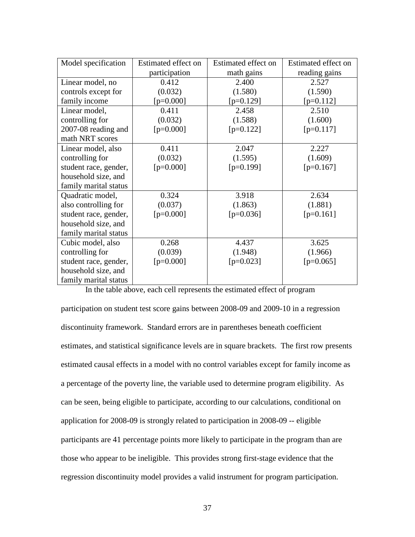| Model specification   | Estimated effect on | Estimated effect on | Estimated effect on |
|-----------------------|---------------------|---------------------|---------------------|
|                       | participation       | math gains          | reading gains       |
| Linear model, no      | 0.412               | 2.400               | 2.527               |
| controls except for   | (0.032)             | (1.580)             | (1.590)             |
| family income         | $[p=0.000]$         | $[p=0.129]$         | $[p=0.112]$         |
| Linear model,         | 0.411               | 2.458               | 2.510               |
| controlling for       | (0.032)             | (1.588)             | (1.600)             |
| 2007-08 reading and   | $[p=0.000]$         | $[p=0.122]$         | $[p=0.117]$         |
| math NRT scores       |                     |                     |                     |
| Linear model, also    | 0.411               | 2.047               | 2.227               |
| controlling for       | (0.032)             | (1.595)             | (1.609)             |
| student race, gender, | $[p=0.000]$         | $[p=0.199]$         | $[p=0.167]$         |
| household size, and   |                     |                     |                     |
| family marital status |                     |                     |                     |
| Quadratic model,      | 0.324               | 3.918               | 2.634               |
| also controlling for  | (0.037)             | (1.863)             | (1.881)             |
| student race, gender, | $[p=0.000]$         | $[p=0.036]$         | $[p=0.161]$         |
| household size, and   |                     |                     |                     |
| family marital status |                     |                     |                     |
| Cubic model, also     | 0.268               | 4.437               | 3.625               |
| controlling for       | (0.039)             | (1.948)             | (1.966)             |
| student race, gender, | $[p=0.000]$         | $[p=0.023]$         | $[p=0.065]$         |
| household size, and   |                     |                     |                     |
| family marital status |                     |                     |                     |

In the table above, each cell represents the estimated effect of program

participation on student test score gains between 2008-09 and 2009-10 in a regression discontinuity framework. Standard errors are in parentheses beneath coefficient estimates, and statistical significance levels are in square brackets. The first row presents estimated causal effects in a model with no control variables except for family income as a percentage of the poverty line, the variable used to determine program eligibility. As can be seen, being eligible to participate, according to our calculations, conditional on application for 2008-09 is strongly related to participation in 2008-09 -- eligible participants are 41 percentage points more likely to participate in the program than are those who appear to be ineligible. This provides strong first-stage evidence that the regression discontinuity model provides a valid instrument for program participation.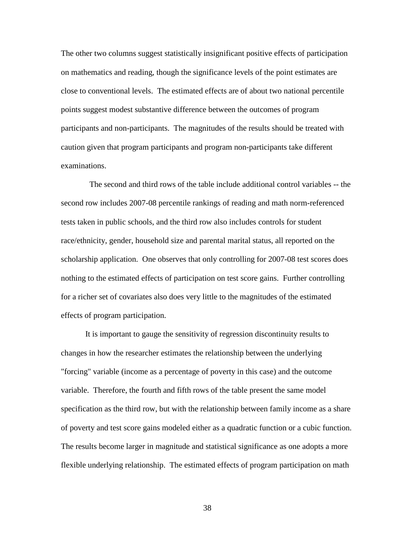The other two columns suggest statistically insignificant positive effects of participation on mathematics and reading, though the significance levels of the point estimates are close to conventional levels. The estimated effects are of about two national percentile points suggest modest substantive difference between the outcomes of program participants and non-participants. The magnitudes of the results should be treated with caution given that program participants and program non-participants take different examinations.

 The second and third rows of the table include additional control variables -- the second row includes 2007-08 percentile rankings of reading and math norm-referenced tests taken in public schools, and the third row also includes controls for student race/ethnicity, gender, household size and parental marital status, all reported on the scholarship application. One observes that only controlling for 2007-08 test scores does nothing to the estimated effects of participation on test score gains. Further controlling for a richer set of covariates also does very little to the magnitudes of the estimated effects of program participation.

It is important to gauge the sensitivity of regression discontinuity results to changes in how the researcher estimates the relationship between the underlying "forcing" variable (income as a percentage of poverty in this case) and the outcome variable. Therefore, the fourth and fifth rows of the table present the same model specification as the third row, but with the relationship between family income as a share of poverty and test score gains modeled either as a quadratic function or a cubic function. The results become larger in magnitude and statistical significance as one adopts a more flexible underlying relationship. The estimated effects of program participation on math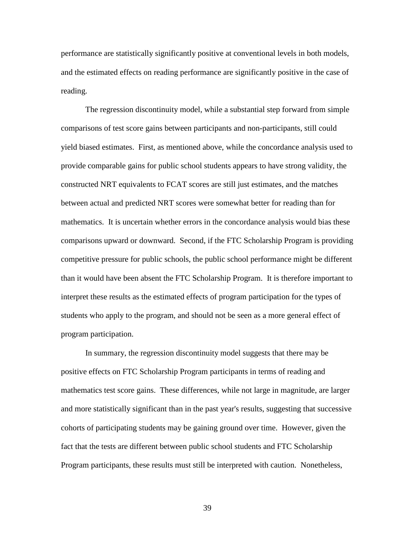performance are statistically significantly positive at conventional levels in both models, and the estimated effects on reading performance are significantly positive in the case of reading.

The regression discontinuity model, while a substantial step forward from simple comparisons of test score gains between participants and non-participants, still could yield biased estimates. First, as mentioned above, while the concordance analysis used to provide comparable gains for public school students appears to have strong validity, the constructed NRT equivalents to FCAT scores are still just estimates, and the matches between actual and predicted NRT scores were somewhat better for reading than for mathematics. It is uncertain whether errors in the concordance analysis would bias these comparisons upward or downward. Second, if the FTC Scholarship Program is providing competitive pressure for public schools, the public school performance might be different than it would have been absent the FTC Scholarship Program. It is therefore important to interpret these results as the estimated effects of program participation for the types of students who apply to the program, and should not be seen as a more general effect of program participation.

In summary, the regression discontinuity model suggests that there may be positive effects on FTC Scholarship Program participants in terms of reading and mathematics test score gains. These differences, while not large in magnitude, are larger and more statistically significant than in the past year's results, suggesting that successive cohorts of participating students may be gaining ground over time. However, given the fact that the tests are different between public school students and FTC Scholarship Program participants, these results must still be interpreted with caution. Nonetheless,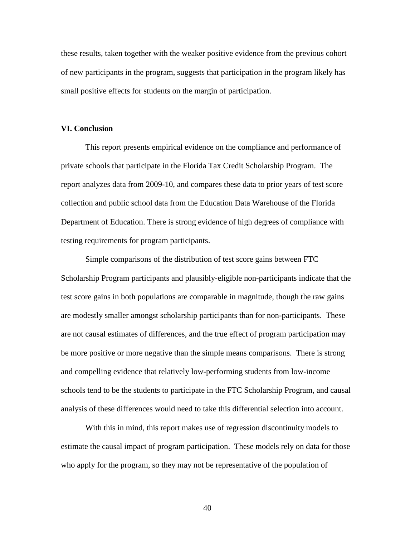these results, taken together with the weaker positive evidence from the previous cohort of new participants in the program, suggests that participation in the program likely has small positive effects for students on the margin of participation.

### **VI. Conclusion**

This report presents empirical evidence on the compliance and performance of private schools that participate in the Florida Tax Credit Scholarship Program. The report analyzes data from 2009-10, and compares these data to prior years of test score collection and public school data from the Education Data Warehouse of the Florida Department of Education. There is strong evidence of high degrees of compliance with testing requirements for program participants.

Simple comparisons of the distribution of test score gains between FTC Scholarship Program participants and plausibly-eligible non-participants indicate that the test score gains in both populations are comparable in magnitude, though the raw gains are modestly smaller amongst scholarship participants than for non-participants. These are not causal estimates of differences, and the true effect of program participation may be more positive or more negative than the simple means comparisons. There is strong and compelling evidence that relatively low-performing students from low-income schools tend to be the students to participate in the FTC Scholarship Program, and causal analysis of these differences would need to take this differential selection into account.

With this in mind, this report makes use of regression discontinuity models to estimate the causal impact of program participation. These models rely on data for those who apply for the program, so they may not be representative of the population of